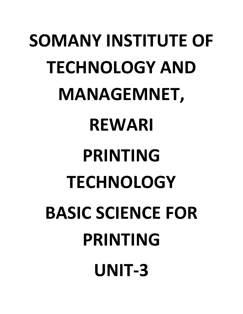# **SOMANY INSTITUTE OF TECHNOLOGY AND MANAGEMNET, REWARI PRINTING TECHNOLOGY BASIC SCIENCE FOR PRINTING UNIT-3**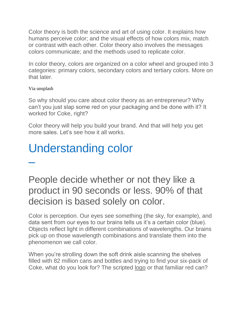Color theory is both the science and art of using color. It explains how humans perceive color; and the visual effects of how colors mix, match or contrast with each other. Color theory also involves the messages colors communicate; and the methods used to replicate color.

In color theory, colors are organized on a color wheel and grouped into 3 categories: primary colors, secondary colors and tertiary colors. More on that later.

#### Via unsplash

–

So why should you care about color theory as an entrepreneur? Why can't you just slap some red on your packaging and be done with it? It worked for Coke, right?

Color theory will help you build your brand. And that will help you get more sales. Let's see how it all works.

# Understanding color

[People decide whether or not they like a](http://twitter.com/share?url=https%3A%2F%2F99designs.com%2Fblog%2Ftips%2Fthe-7-step-guide-to-understanding-color-theory%2F&text=People+decide+whether+or+not+they+like+a+product+in+90+seconds+or+less.+90%25+of+that+decision+is+base%E2%80%A6&via=99designs)  [product in 90 seconds or less. 90% of that](http://twitter.com/share?url=https%3A%2F%2F99designs.com%2Fblog%2Ftips%2Fthe-7-step-guide-to-understanding-color-theory%2F&text=People+decide+whether+or+not+they+like+a+product+in+90+seconds+or+less.+90%25+of+that+decision+is+base%E2%80%A6&via=99designs)  [decision is based solely on color.](http://twitter.com/share?url=https%3A%2F%2F99designs.com%2Fblog%2Ftips%2Fthe-7-step-guide-to-understanding-color-theory%2F&text=People+decide+whether+or+not+they+like+a+product+in+90+seconds+or+less.+90%25+of+that+decision+is+base%E2%80%A6&via=99designs)

Color is perception. Our eyes see something (the sky, for example), and data sent from our eyes to our brains tells us it's a certain color (blue). Objects reflect light in different combinations of wavelengths. Our brains pick up on those wavelength combinations and translate them into the phenomenon we call color.

When you're strolling down the soft drink aisle scanning the shelves filled with 82 million cans and bottles and trying to find your six-pack of Coke, what do you look for? The scripted [logo](https://99designs.com/logo-design) or that familiar red can?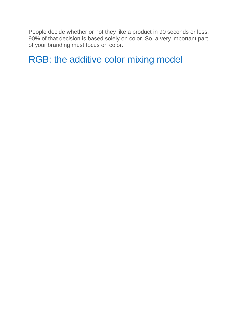People decide whether or not they like a product in 90 seconds or less. 90% of that decision is based solely on color. So, a very important part of your branding must focus on color.

### RGB: the additive color mixing model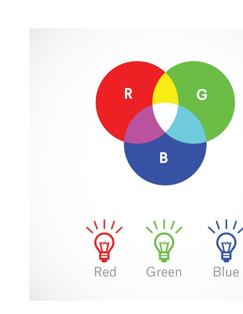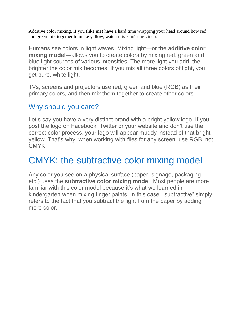Additive color mixing. If you (like me) have a hard time wrapping your head around how red and green mix together to make yellow, watch [this YouTube video.](https://www.youtube.com/watch?v=KZ-mEddsYqo#t=1m24s)

Humans see colors in light waves. Mixing light—or the **additive color mixing model**—allows you to create colors by mixing red, green and blue light sources of various intensities. The more light you add, the brighter the color mix becomes. If you mix all three colors of light, you get pure, white light.

TVs, screens and projectors use red, green and blue (RGB) as their primary colors, and then mix them together to create other colors.

#### Why should you care?

Let's say you have a very distinct brand with a bright yellow logo. If you post the logo on Facebook, Twitter or your website and don't use the correct color process, your logo will appear muddy instead of that bright yellow. That's why, when working with files for any screen, use RGB, not CMYK.

### CMYK: the subtractive color mixing model

Any color you see on a physical surface (paper, signage, packaging, etc.) uses the **subtractive color mixing model**. Most people are more familiar with this color model because it's what we learned in kindergarten when mixing finger paints. In this case, "subtractive" simply refers to the fact that you subtract the light from the paper by adding more color.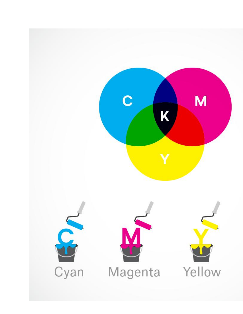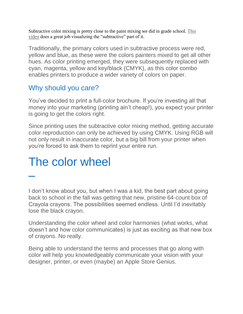Subtractive color mixing is pretty close to the paint mixing we did in grade school. [This](https://www.youtube.com/watch?v=5inTryUaQyg)  [video](https://www.youtube.com/watch?v=5inTryUaQyg) does a great job visualizing the "subtractive" part of it.

Traditionally, the primary colors used in subtractive process were red, yellow and blue, as these were the colors painters mixed to get all other hues. As color printing emerged, they were subsequently replaced with cyan, magenta, yellow and key/black (CMYK), as this color combo enables printers to produce a wider variety of colors on paper.

#### Why should you care?

You've decided to print a full-color brochure. If you're investing all that money into your marketing (printing ain't cheap!), you expect your printer is going to get the colors right.

Since printing uses the subtractive color mixing method, getting accurate color reproduction can only be achieved by using CMYK. Using RGB will not only result in inaccurate color, but a big bill from your printer when you're forced to ask them to reprint your entire run.

# The color wheel

–

I don't know about you, but when I was a kid, the best part about going back to school in the fall was getting that new, pristine 64-count box of Crayola crayons. The possibilities seemed endless. Until I'd inevitably lose the black crayon.

Understanding the color wheel and color harmonies (what works, what doesn't and how color communicates) is just as exciting as that new box of crayons. No really.

Being able to understand the terms and processes that go along with color will help you knowledgeably communicate your vision with your designer, printer, or even (maybe) an Apple Store Genius.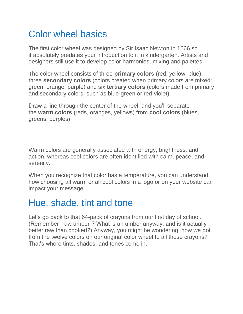## Color wheel basics

The first color wheel was designed by Sir Isaac Newton in 1666 so it absolutely predates your introduction to it in kindergarten. Artists and designers still use it to develop color harmonies, mixing and palettes.

The color wheel consists of three **primary colors** (red, yellow, blue), three **secondary colors** (colors created when primary colors are mixed: green, orange, purple) and six **tertiary colors** (colors made from primary and secondary colors, such as blue-green or red-violet).

Draw a line through the center of the wheel, and you'll separate the **warm colors** (reds, oranges, yellows) from **cool colors** (blues, greens, purples).

Warm colors are generally associated with energy, brightness, and action, whereas cool colors are often identified with calm, peace, and serenity.

When you recognize that color has a temperature, you can understand how choosing all warm or all cool colors in a logo or on your website can impact your message.

### Hue, shade, tint and tone

Let's go back to that 64-pack of crayons from our first day of school. (Remember "raw umber"? What is an umber anyway, and is it actually better raw than cooked?) Anyway, you might be wondering, how we got from the twelve colors on our original color wheel to all those crayons? That's where tints, shades, and tones come in.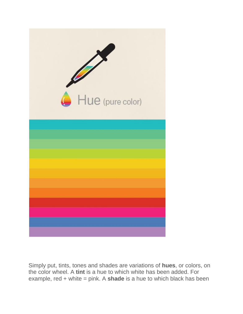

Simply put, tints, tones and shades are variations of **hues**, or colors, on the color wheel. A **tint** is a hue to which white has been added. For example, red + white = pink. A **shade** is a hue to which black has been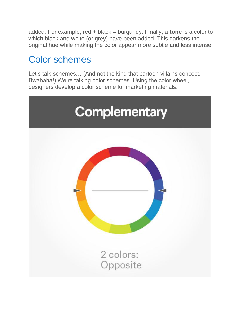added. For example, red + black = burgundy. Finally, a **tone** is a color to which black and white (or grey) have been added. This darkens the original hue while making the color appear more subtle and less intense.

## Color schemes

Let's talk schemes… (And not the kind that cartoon villains concoct. Bwahaha!) We're talking color schemes. Using the color wheel, designers develop a color scheme for marketing materials.

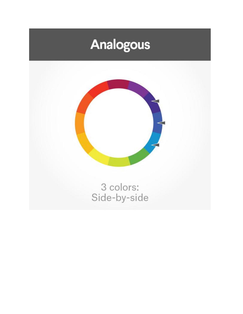# **Analogous**

![](_page_10_Picture_1.jpeg)

3 colors:<br>Side-by-side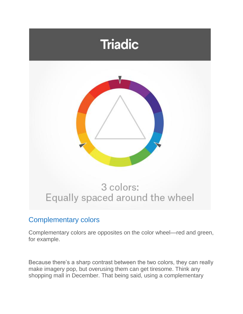![](_page_11_Picture_0.jpeg)

#### Complementary colors

Complementary colors are opposites on the color wheel—red and green, for example.

Because there's a sharp contrast between the two colors, they can really make imagery pop, but overusing them can get tiresome. Think any shopping mall in December. That being said, using a complementary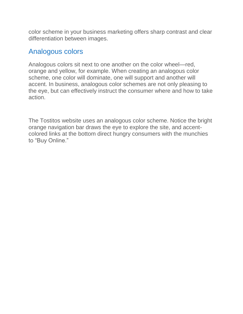color scheme in your business marketing offers sharp contrast and clear differentiation between images.

#### Analogous colors

Analogous colors sit next to one another on the color wheel—red, orange and yellow, for example. When creating an analogous color scheme, one color will dominate, one will support and another will accent. In business, analogous color schemes are not only pleasing to the eye, but can effectively instruct the consumer where and how to take action.

The Tostitos website uses an analogous color scheme. Notice the bright orange navigation bar draws the eye to explore the site, and accentcolored links at the bottom direct hungry consumers with the munchies to "Buy Online."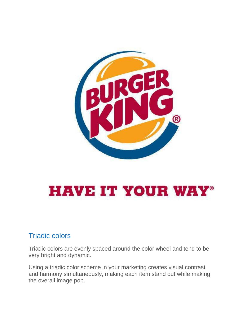![](_page_13_Picture_0.jpeg)

# **HAVE IT YOUR WAY®**

#### Triadic colors

Triadic colors are evenly spaced around the color wheel and tend to be very bright and dynamic.

Using a triadic color scheme in your marketing creates visual contrast and harmony simultaneously, making each item stand out while making the overall image pop.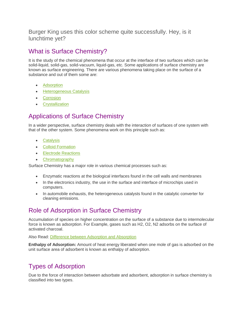Burger King uses this color scheme quite successfully. Hey, is it lunchtime yet?

#### What is Surface Chemistry?

It is the study of the chemical phenomena that occur at the interface of two surfaces which can be solid-liquid, solid-gas, solid-vacuum, liquid-gas, etc. Some applications of surface chemistry are known as surface engineering. There are various phenomena taking place on the surface of a substance and out of them some are:

- [Adsorption](https://byjus.com/jee/adsorption/)
- [Heterogeneous Catalysis](https://byjus.com/jee/catalyst/)
- [Corrosion](https://byjus.com/jee/corrosion/)
- **•** [Crystallization](https://byjus.com/chemistry/crystallization/)

#### Applications of Surface Chemistry

In a wider perspective, surface chemistry deals with the interaction of surfaces of one system with that of the other system. Some phenomena work on this principle such as:

- [Catalysis](https://byjus.com/chemistry/catalysis/)
- [Colloid Formation](https://byjus.com/chemistry/classification-of-colloids/)
- [Electrode Reactions](https://byjus.com/chemistry/electrodes/)
- [Chromatography](https://byjus.com/chemistry/differential-extraction-chromatography/)

Surface Chemistry has a major role in various chemical processes such as:

- Enzymatic reactions at the biological interfaces found in the cell walls and membranes
- In the electronics industry, the use in the surface and interface of microchips used in computers.
- In automobile exhausts, the heterogeneous catalysts found in the catalytic converter for cleaning emissions.

#### Role of Adsorption in Surface Chemistry

Accumulation of species on higher concentration on the surface of a substance due to intermolecular force is known as adsorption. For Example, gases such as H2, O2, N2 adsorbs on the surface of activated charcoal.

Also Read: [Difference between Adsorption and Absorption](https://byjus.com/chemistry/adsorption-absorption-differences/)

**Enthalpy of Adsorption:** Amount of heat energy liberated when one mole of gas is adsorbed on the unit surface area of adsorbent is known as enthalpy of adsorption.

#### Types of Adsorption

Due to the force of interaction between adsorbate and adsorbent, adsorption in surface chemistry is classified into two types.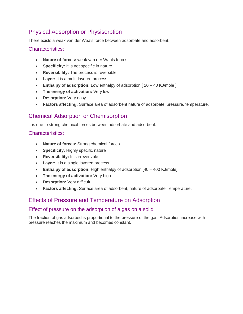#### Physical Adsorption or Physisorption

There exists a weak van der Waals force between adsorbate and adsorbent.

#### Characteristics:

- **Nature of forces:** weak van der Waals forces
- **Specificity:** It is not specific in nature
- **Reversibility:** The process is reversible
- **Layer:** It is a multi-layered process
- **Enthalpy of adsorption:** Low enthalpy of adsorption [20 40 KJ/mole ]
- **The energy of activation:** Very low
- **Desorption:** Very easy
- **Factors affecting:** Surface area of adsorbent nature of adsorbate, pressure, temperature.

#### Chemical Adsorption or Chemisorption

It is due to strong chemical forces between adsorbate and adsorbent.

#### Characteristics:

- **Nature of forces:** Strong chemical forces
- **Specificity:** Highly specific nature
- **Reversibility:** It is irreversible
- **Layer:** It is a single layered process
- **Enthalpy of adsorption:** High enthalpy of adsorption [40 400 KJ/mole]
- **The energy of activation:** Very high
- **Desorption:** Very difficult
- **Factors affecting:** Surface area of adsorbent, nature of adsorbate Temperature.

#### Effects of Pressure and Temperature on Adsorption

#### Effect of pressure on the adsorption of a gas on a solid

The fraction of gas adsorbed is proportional to the pressure of the gas. Adsorption increase with pressure reaches the maximum and becomes constant.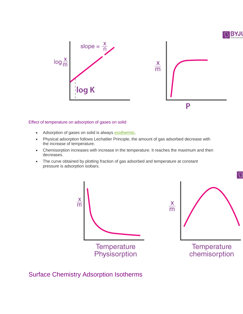![](_page_16_Figure_0.jpeg)

![](_page_16_Figure_1.jpeg)

#### Effect of temperature on adsorption of gases on solid

- Adsorption of gases on solid is always [exothermic.](https://byjus.com/chemistry/exothermic-reaction/)
- Physical adsorption follows Lechatlier Principle, the amount of gas adsorbed decrease with the increase of temperature.
- Chemisorption increases with increase in the temperature. It reaches the maximum and then decreases.
- The curve obtained by plotting fraction of gas adsorbed and temperature at constant pressure is adsorption isobars.

![](_page_16_Figure_7.jpeg)

#### Surface Chemistry Adsorption Isotherms